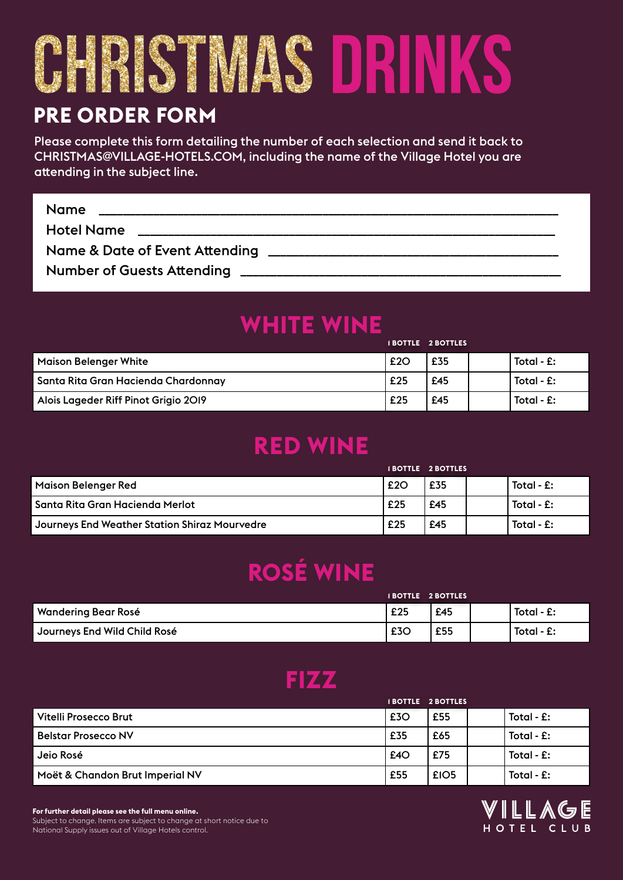# CHRISTMAS DRINKS

#### **PRE ORDER FORM**

Please complete this form detailing the number of each selection and send it back to CHRISTMAS@VILLAGE-HOTELS.COM, including the name of the Village Hotel you are attending in the subject line.

| <b>Name</b>                    |  |
|--------------------------------|--|
| <b>Hotel Name</b>              |  |
| Name & Date of Event Attending |  |
|                                |  |

# **WHITE WINE**

|                                      |     | IBOIILE ZBOIILES |                        |
|--------------------------------------|-----|------------------|------------------------|
| <b>Maison Belenger White</b>         | £2O | £35              | Total - $\mathbf{f}$ : |
| Santa Rita Gran Hacienda Chardonnay  | £25 | £45              | Total - $f$ :          |
| Alois Lageder Riff Pinot Grigio 2019 | £25 | £45              | Total - $f$ :          |

#### **RED WINE**

|                                               |     | <b>IBOTTLE 2 BOTTLES</b> |               |
|-----------------------------------------------|-----|--------------------------|---------------|
| Maison Belenger Red                           | £2O | £35                      | Total - $f$ : |
| Santa Rita Gran Hacienda Merlot               | £25 | £45                      | Total - $f$ : |
| Journeys End Weather Station Shiraz Mourvedre | £25 | £45                      | Total - $f$ : |

# **ROSÉ WINE**

|                              | <b>IBOTTLE 2 BOTTLES</b> |     |  |               |
|------------------------------|--------------------------|-----|--|---------------|
| Wandering Bear Rosé          | £25                      | £45 |  | Total - $E$ : |
| Journeys End Wild Child Rosé | £3C                      | £55 |  | Total - £:    |

#### **FIZZ**

|                                 | <b>IBOTTLE 2 BOTTLES</b> |      |               |
|---------------------------------|--------------------------|------|---------------|
| Vitelli Prosecco Brut           | £3O                      | £55  | Total - $f$ : |
| <b>Belstar Prosecco NV</b>      | £35                      | £65  | Total - $f$ : |
| Jeio Rosé                       | E4O                      | £75  | Total - $f$ : |
| Moët & Chandon Brut Imperial NV | £55                      | £IO5 | Total - $f$ : |



**For further detail please see the full menu online.** Subject to change. Items are subject to change at short notice due to National Supply issues out of Village Hotels control.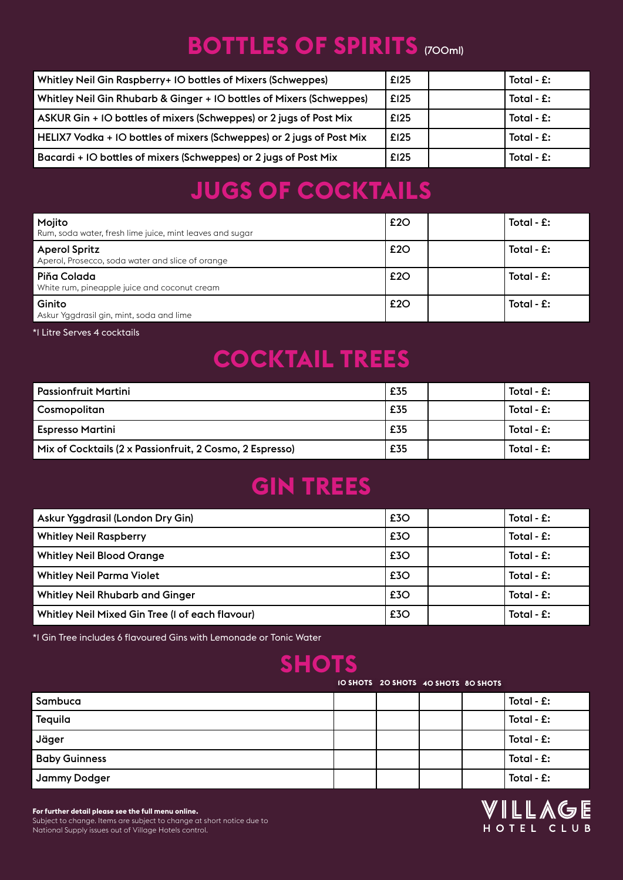#### **BOTTLES OF SPIRITS (700ml)**

| Whitley Neil Gin Raspberry+ IO bottles of Mixers (Schweppes)          | £125 | Total - $f$ : |
|-----------------------------------------------------------------------|------|---------------|
| Whitley Neil Gin Rhubarb & Ginger + IO bottles of Mixers (Schweppes)  | £125 | Total - $f$ : |
| ASKUR Gin + IO bottles of mixers (Schweppes) or 2 jugs of Post Mix    | £125 | Total - $f$ : |
| HELIX7 Vodka + IO bottles of mixers (Schweppes) or 2 jugs of Post Mix | £125 | Total - $f$ : |
| Bacardi + IO bottles of mixers (Schweppes) or 2 jugs of Post Mix      | £125 | Total - $f$ : |

# **JUGS OF COCKTAILS**

| Mojito<br>Rum, soda water, fresh lime juice, mint leaves and sugar       | £2O | Total - $f$ : |
|--------------------------------------------------------------------------|-----|---------------|
| <b>Aperol Spritz</b><br>Aperol, Prosecco, soda water and slice of orange | £2O | Total - $f$ : |
| Piňa Colada<br>White rum, pineapple juice and coconut cream              | £2O | Total - $f$ : |
| Ginito<br>Askur Yagdrasil gin, mint, soda and lime                       | £2O | Total - $f$ : |

\*1 Litre Serves 4 cocktails

#### **COCKTAIL TREES**

| <b>Passionfruit Martini</b>                              | £35 | Total - $f$ : |
|----------------------------------------------------------|-----|---------------|
| Cosmopolitan                                             | £35 | Total - $f$ : |
| <b>Espresso Martini</b>                                  | £35 | Total - $f$ : |
| Mix of Cocktails (2 x Passionfruit, 2 Cosmo, 2 Espresso) | £35 | Total - $f$ : |

# **GIN TREES**

| Askur Yggdrasil (London Dry Gin)                | £3O | Total - $f$ : |
|-------------------------------------------------|-----|---------------|
| <b>Whitley Neil Raspberry</b>                   | £3O | Total - $f$ : |
| <b>Whitley Neil Blood Orange</b>                | £3O | Total - $f$ : |
| <b>Whitley Neil Parma Violet</b>                | £3O | Total - $f$ : |
| <b>Whitley Neil Rhubarb and Ginger</b>          | £3O | Total - $f$ : |
| Whitley Neil Mixed Gin Tree (I of each flavour) | £3O | Total - $f$ : |

\*1 Gin Tree includes 6 flavoured Gins with Lemonade or Tonic Water

#### **SHOTS**

**10 SHOTS 20 SHOTS 40 SHOTS 80 SHOTS**

| Sambuca              |  |  | Total - $E$ : |
|----------------------|--|--|---------------|
| Tequila              |  |  | Total - $E$ : |
| Jäger                |  |  | Total - $E$ : |
| <b>Baby Guinness</b> |  |  | Total - $E$ : |
| Jammy Dodger         |  |  | Total - $E$ : |



**For further detail please see the full menu online.**

Subject to change. Items are subject to change at short notice due to National Supply issues out of Village Hotels control.